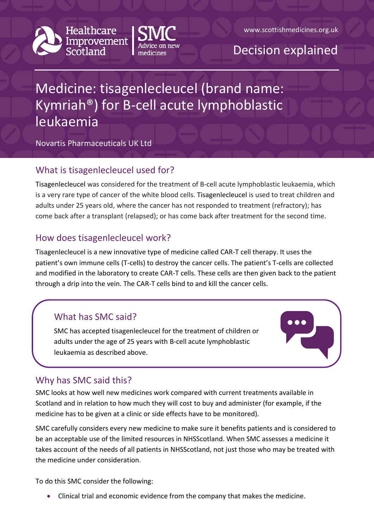



# Decision explained

# Medicine: tisagenlecleucel (brand name: Kymriah®) for B-cell acute lymphoblastic leukaemia

Novartis Pharmaceuticals UK Ltd

## What is tisagenlecleucel used for?

Tisagenlecleucel was considered for the treatment of B-cell acute lymphoblastic leukaemia, which is a very rare type of cancer of the white blood cells. Tisagenlecleucel is used to treat children and adults under 25 years old, where the cancer has not responded to treatment (refractory); has come back after a transplant (relapsed); or has come back after treatment for the second time.

### How does tisagenlecleucel work?

Tisagenlecleucel is a new innovative type of medicine called CAR-T cell therapy. It uses the patient's own immune cells (T-cells) to destroy the cancer cells. The patient's T-cells are collected and modified in the laboratory to create CAR-T cells. These cells are then given back to the patient through a drip into the vein. The CAR-T cells bind to and kill the cancer cells.

# What has SMC said?

SMC has accepted tisagenlecleucel for the treatment of children or adults under the age of 25 years with B-cell acute lymphoblastic leukaemia as described above.



### Why has SMC said this?

SMC looks at how well new medicines work compared with current treatments available in Scotland and in relation to how much they will cost to buy and administer (for example, if the medicine has to be given at a clinic or side effects have to be monitored).

SMC carefully considers every new medicine to make sure it benefits patients and is considered to be an acceptable use of the limited resources in NHSScotland. When SMC assesses a medicine it takes account of the needs of all patients in NHSScotland, not just those who may be treated with the medicine under consideration.

To do this SMC consider the following:

Clinical trial and economic evidence from the company that makes the medicine.